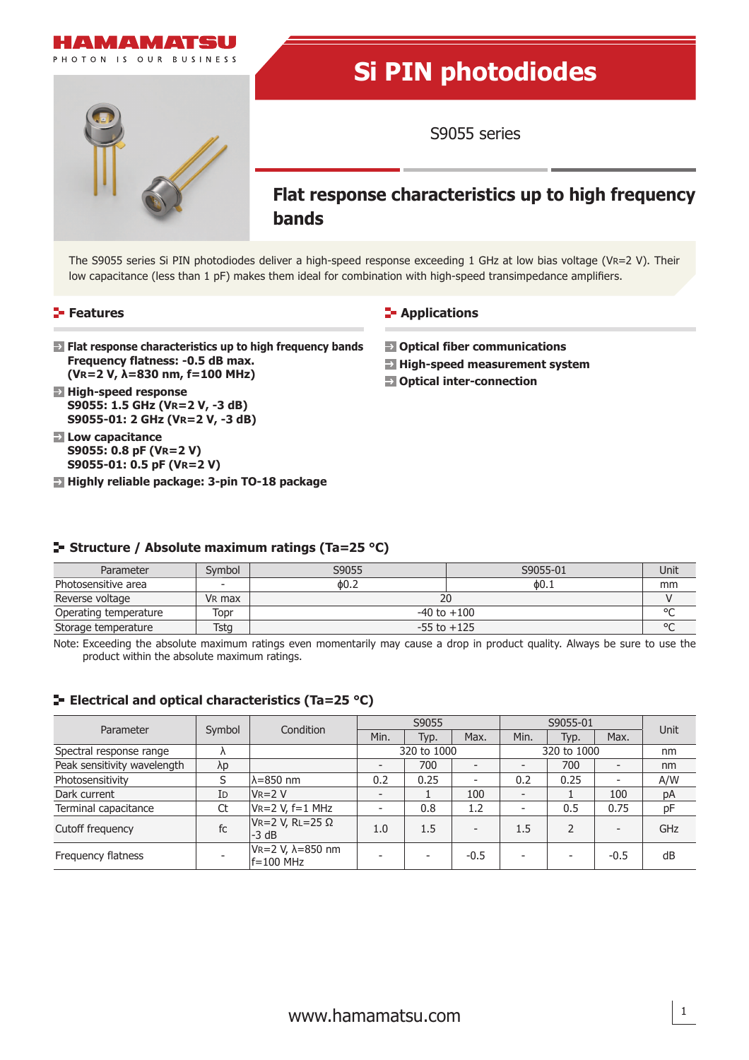

The S9055 series Si PIN photodiodes deliver a high-speed response exceeding 1 GHz at low bias voltage (VR=2 V). Their low capacitance (less than 1 pF) makes them ideal for combination with high-speed transimpedance amplifiers.

## **Features**

## **Applications**

- **Flat response characteristics up to high frequency bands Frequency flatness: -0.5 dB max. (VR=2 V, λ=830 nm, f=100 MHz)**
- **High-speed response S9055: 1.5 GHz (VR=2 V, -3 dB) S9055-01: 2 GHz (VR=2 V, -3 dB)**
- **Low capacitance S9055: 0.8 pF (VR=2 V) S9055-01: 0.5 pF (VR=2 V)**
- **Highly reliable package: 3-pin TO-18 package**

 **Optical fiber communications**

- **E** High-speed measurement system
- **Optical inter-connection**

## **Structure / Absolute maximum ratings (Ta=25 °C)**

| Parameter             | Symbol             | S9055           | S9055-01 | Unit |  |  |
|-----------------------|--------------------|-----------------|----------|------|--|--|
| Photosensitive area   |                    | $\phi$ 0.2      | ቀ0.⊥     | mm   |  |  |
| Reverse voltage       | V <sub>R</sub> max | 20              |          |      |  |  |
| Operating temperature | Topr               | $-40$ to $+100$ |          |      |  |  |
| Storage temperature   | Tstg               | $-55$ to $+125$ |          |      |  |  |

Note: Exceeding the absolute maximum ratings even momentarily may cause a drop in product quality. Always be sure to use the product within the absolute maximum ratings.

## **ELECTRICAL AND OPTICAL CHARACTERIST ENDINGLES** (Ta=25 °C)

| Parameter                   | Symbol | Condition                          | S9055 |                          | S9055-01                 |                          |      | <b>Unit</b>              |     |
|-----------------------------|--------|------------------------------------|-------|--------------------------|--------------------------|--------------------------|------|--------------------------|-----|
|                             |        |                                    | Min.  | Typ.                     | Max.                     | Min.                     | Typ. | Max.                     |     |
| Spectral response range     |        |                                    |       | 320 to 1000              |                          | 320 to 1000              |      |                          | nm  |
| Peak sensitivity wavelength | λp     |                                    |       | 700                      |                          |                          | 700  |                          | nm  |
| Photosensitivity            |        | $\lambda = 850$ nm                 | 0.2   | 0.25                     | $\overline{\phantom{0}}$ | 0.2                      | 0.25 | $\overline{\phantom{a}}$ | A/W |
| Dark current                | ID     | $V_{R=2} V$                        |       |                          | 100                      | $\overline{\phantom{a}}$ |      | 100                      | pA  |
| Terminal capacitance        | Ct     | $V_{R=2} V, f=1 MHz$               |       | 0.8                      | 1.2                      |                          | 0.5  | 0.75                     | pF  |
| Cutoff frequency            | fc     | $V_R=2 V, RL=25 \Omega$<br>$-3 dB$ | 1.0   | 1.5                      | $\overline{\phantom{0}}$ | 1.5                      | フ    |                          | GHz |
| Frequency flatness          |        | VR=2 V, λ=850 nm<br>lf=100 MHz     |       | $\overline{\phantom{a}}$ | $-0.5$                   |                          |      | $-0.5$                   | dB  |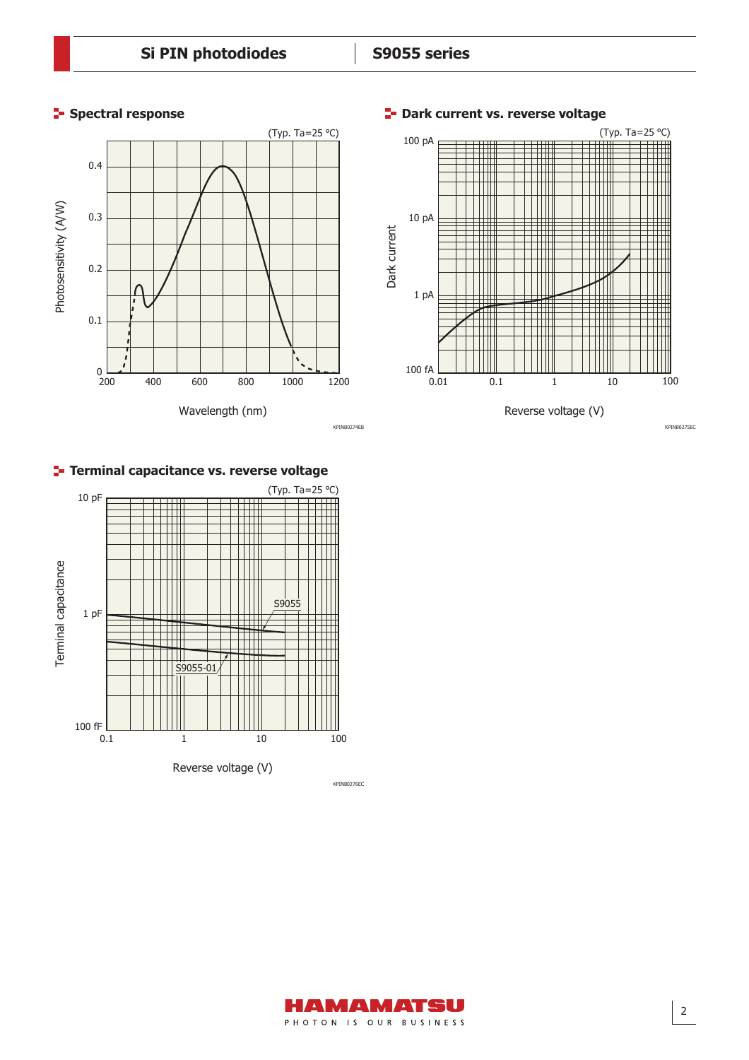

**Spectral response Dark current vs. reverse voltage** 



## **Terminal capacitance vs. reverse voltage**



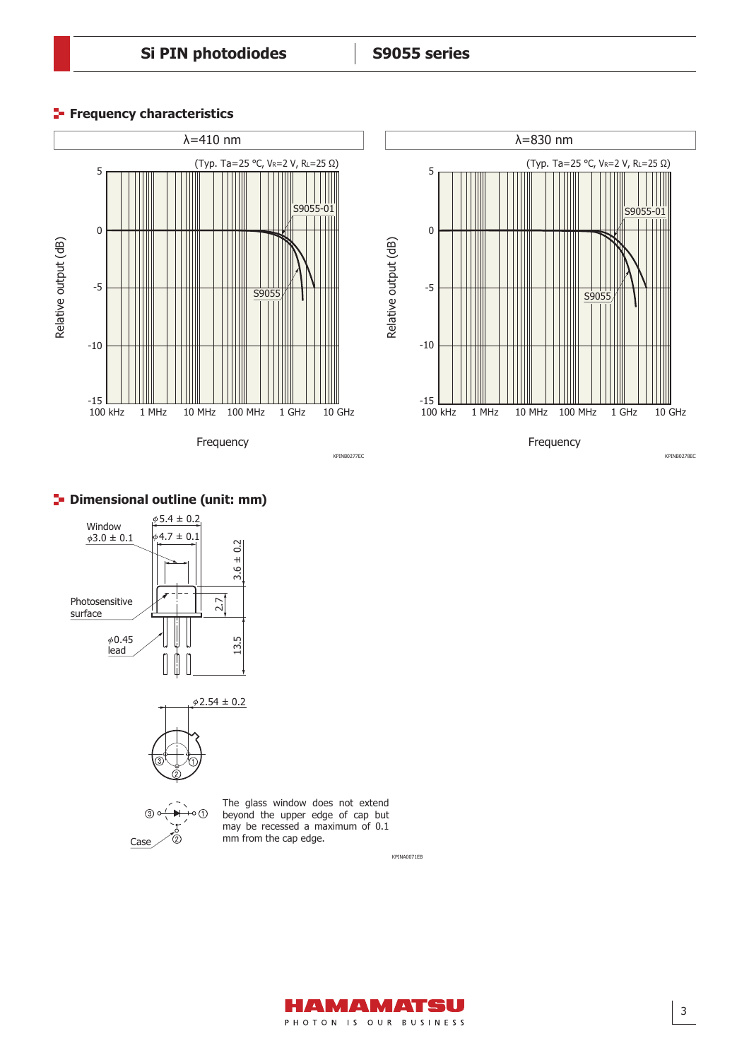# **Si PIN photodiodes S9055 series**

## **Frequency characteristics**





## **<sup>1</sup>** Dimensional outline (unit: mm)



Case

 $\mathbb{Q}$ 



 $\circ$  (f)

The glass window does not extend beyond the upper edge of cap but may be recessed a maximum of 0.1 mm from the cap edge.

KPINA0071EB